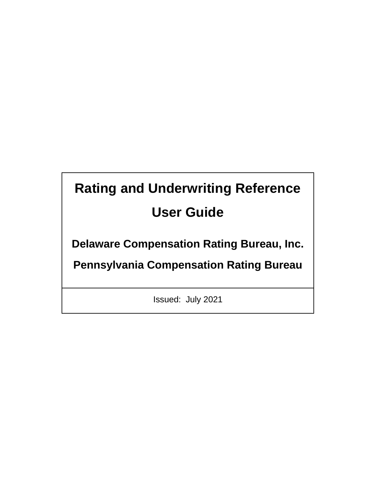# **Rating and Underwriting Reference User Guide**

**Delaware Compensation Rating Bureau, Inc.** 

**Pennsylvania Compensation Rating Bureau**

Issued: July 2021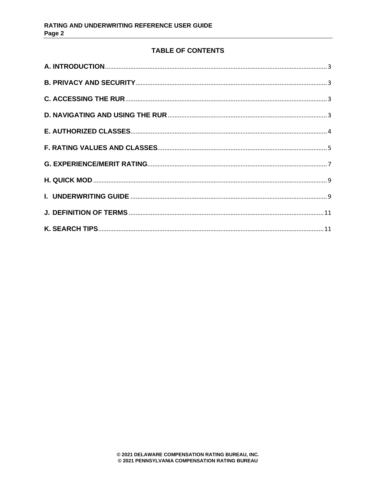# **TABLE OF CONTENTS**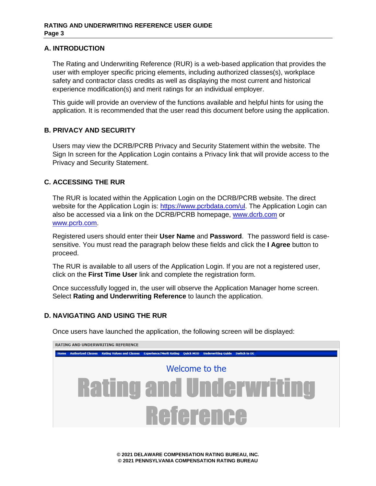# <span id="page-2-0"></span>**A. INTRODUCTION**

The Rating and Underwriting Reference (RUR) is a web-based application that provides the user with employer specific pricing elements, including authorized classes(s), workplace safety and contractor class credits as well as displaying the most current and historical experience modification(s) and merit ratings for an individual employer.

This guide will provide an overview of the functions available and helpful hints for using the application. It is recommended that the user read this document before using the application.

# <span id="page-2-1"></span>**B. PRIVACY AND SECURITY**

Users may view the DCRB/PCRB Privacy and Security Statement within the website. The Sign In screen for the Application Login contains a Privacy link that will provide access to the Privacy and Security Statement.

# <span id="page-2-2"></span>**C. ACCESSING THE RUR**

The RUR is located within the Application Login on the DCRB/PCRB website. The direct website for the Application Login is: [https://www.pcrbdata.com/ul.](https://www.pcrbdata.com/ul) The Application Login can also be accessed via a link on the DCRB/PCRB homepage, [www.dcrb.com](http://www.dcrb.com/) or [www.pcrb.com.](http://www.pcrb.com/)

Registered users should enter their **User Name** and **Password**. The password field is casesensitive. You must read the paragraph below these fields and click the **I Agree** button to proceed.

The RUR is available to all users of the Application Login. If you are not a registered user, click on the **First Time User** link and complete the registration form.

Once successfully logged in, the user will observe the Application Manager home screen. Select **Rating and Underwriting Reference** to launch the application.

# <span id="page-2-3"></span>**D. NAVIGATING AND USING THE RUR**

Once users have launched the application, the following screen will be displayed:

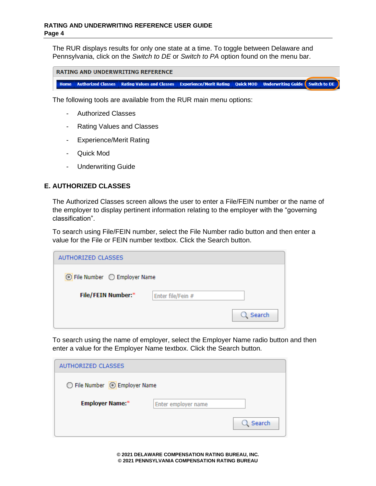The RUR displays results for only one state at a time. To toggle between Delaware and Pennsylvania, click on the *Switch to DE* or *Switch to PA* option found on the menu bar.

| <b>RATING AND UNDERWRITING REFERENCE</b> |  |                                                                                                                            |  |  |  |  |
|------------------------------------------|--|----------------------------------------------------------------------------------------------------------------------------|--|--|--|--|
|                                          |  | <b>Nome Authorized Classes   Rating Values and Classes   Experience/Merit Rating   Ouick MOD   Underwriting Guide   Sv</b> |  |  |  |  |

vitch to DE

The following tools are available from the RUR main menu options:

- Authorized Classes
- Rating Values and Classes
- Experience/Merit Rating
- Quick Mod
- Underwriting Guide

# <span id="page-3-0"></span>**E. AUTHORIZED CLASSES**

The Authorized Classes screen allows the user to enter a File/FEIN number or the name of the employer to display pertinent information relating to the employer with the "governing classification".

To search using File/FEIN number, select the File Number radio button and then enter a value for the File or FEIN number textbox. Click the Search button.

| AUTHORIZED CLASSES                        |                   |        |  |  |  |  |
|-------------------------------------------|-------------------|--------|--|--|--|--|
| $\odot$ File Number $\odot$ Employer Name |                   |        |  |  |  |  |
| File/FEIN Number:*                        | Enter file/Fein # |        |  |  |  |  |
|                                           |                   | Search |  |  |  |  |

To search using the name of employer, select the Employer Name radio button and then enter a value for the Employer Name textbox. Click the Search button.

| AUTHORIZED CLASSES            |                     |        |  |  |  |
|-------------------------------|---------------------|--------|--|--|--|
| ○ File Number   Employer Name |                     |        |  |  |  |
| <b>Employer Name:*</b>        | Enter employer name |        |  |  |  |
|                               |                     | Search |  |  |  |

**© 2021 DELAWARE COMPENSATION RATING BUREAU, INC. © 2021 PENNSYLVANIA COMPENSATION RATING BUREAU**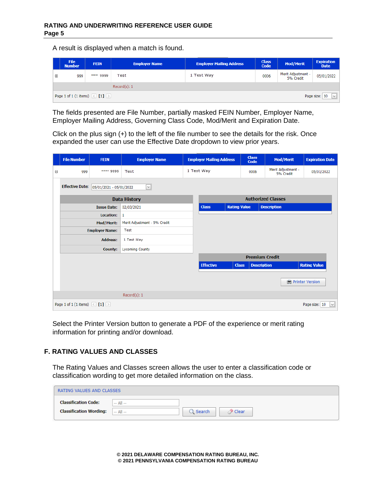A result is displayed when a match is found.

|                   | <b>File</b><br><b>Number</b>                                                                         | <b>FEIN</b> | <b>Employer Name</b> | <b>Employer Mailing Address</b> | <b>Class</b><br><b>Code</b> | <b>Mod/Merit</b>                | <b>Expiration</b><br><b>Date</b> |  |
|-------------------|------------------------------------------------------------------------------------------------------|-------------|----------------------|---------------------------------|-----------------------------|---------------------------------|----------------------------------|--|
| 999<br>$^{\circ}$ |                                                                                                      | *** 9999    | Test                 | 1 Test Way                      | 0006                        | Merit Adjustment -<br>5% Credit | 05/01/2022                       |  |
| Record(s): 1      |                                                                                                      |             |                      |                                 |                             |                                 |                                  |  |
|                   | Page 1 of 1 (1 items) $\left[\begin{array}{c c} 0 & 1 \end{array}\right]$<br>Page size: 10<br>$\vee$ |             |                      |                                 |                             |                                 |                                  |  |

The fields presented are File Number, partially masked FEIN Number, Employer Name, Employer Mailing Address, Governing Class Code, Mod/Merit and Expiration Date.

Click on the plus sign (+) to the left of the file number to see the details for the risk. Once expanded the user can use the Effective Date dropdown to view prior years.

|   | <b>File Number</b>                                                                   | <b>FEIN</b>             | <b>Employer Name</b>         | <b>Employer Mailing Address</b> |                     | <b>Class</b><br>Code          | Mod/Merit                       | <b>Expiration Date</b> |  |
|---|--------------------------------------------------------------------------------------|-------------------------|------------------------------|---------------------------------|---------------------|-------------------------------|---------------------------------|------------------------|--|
| Θ | 999                                                                                  | **** 9999               | Test                         | 1 Test Way                      |                     | 0006                          | Merit Adjustment -<br>5% Credit | 05/01/2022             |  |
|   | <b>Effective Date:</b>                                                               | 05/01/2021 - 05/01/2022 | $\vee$                       |                                 |                     |                               |                                 |                        |  |
|   |                                                                                      |                         | <b>Data History</b>          | <b>Authorized Classes</b>       |                     |                               |                                 |                        |  |
|   |                                                                                      | <b>Issue Date:</b>      | 02/03/2021                   | <b>Class</b>                    | <b>Rating Value</b> |                               | <b>Description</b>              |                        |  |
|   |                                                                                      | <b>Location:</b>        | 1                            |                                 |                     |                               |                                 |                        |  |
|   |                                                                                      | Mod/Merit:              | Merit Adjustment - 5% Credit |                                 |                     |                               |                                 |                        |  |
|   |                                                                                      | <b>Employer Name:</b>   | Test                         |                                 |                     |                               |                                 |                        |  |
|   |                                                                                      | <b>Address:</b>         | 1 Test Way                   |                                 |                     |                               |                                 |                        |  |
|   |                                                                                      | <b>County:</b>          | <b>Lycoming County</b>       |                                 |                     |                               |                                 |                        |  |
|   |                                                                                      |                         |                              | <b>Premium Credit</b>           |                     |                               |                                 |                        |  |
|   |                                                                                      |                         |                              | <b>Effective</b>                | <b>Class</b>        | <b>Description</b>            |                                 | <b>Rating Value</b>    |  |
|   |                                                                                      |                         |                              |                                 |                     |                               |                                 |                        |  |
|   |                                                                                      |                         |                              |                                 |                     |                               |                                 | Printer Version        |  |
|   |                                                                                      |                         | Record(s): 1                 |                                 |                     |                               |                                 |                        |  |
|   | Page 1 of 1 (1 items) $\left \left\langle \right $ [1] $\left \right\rangle \right $ |                         |                              |                                 |                     | Page size: 10<br>$\checkmark$ |                                 |                        |  |

Select the Printer Version button to generate a PDF of the experience or merit rating information for printing and/or download.

# <span id="page-4-0"></span>**F. RATING VALUES AND CLASSES**

The Rating Values and Classes screen allows the user to enter a classification code or classification wording to get more detailed information on the class.

| RATING VALUES AND CLASSES                                     |                                                 |
|---------------------------------------------------------------|-------------------------------------------------|
| <b>Classification Code:</b><br><b>Classification Wording:</b> | $-$ All $-$<br>$-$ All $-$<br>Clear<br>l Search |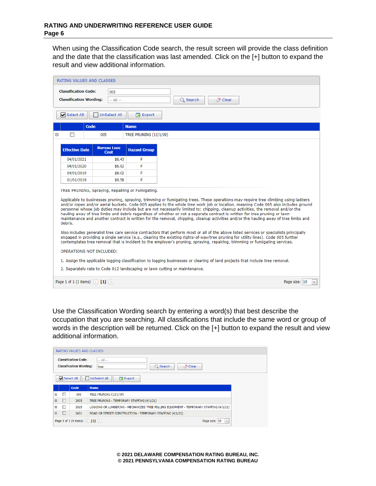When using the Classification Code search, the result screen will provide the class definition and the date that the classification was last amended. Click on the [+] button to expand the result and view additional information.

|   | RATING VALUES AND CLASSES                                                                                                                                                                                                                                                                                                                                                                                                                                                                                                                                                                                                                                                                                                                       |                                   |                        |                                                                                                                                                                                                                                                                                                                                                                                                              |  |  |  |  |
|---|-------------------------------------------------------------------------------------------------------------------------------------------------------------------------------------------------------------------------------------------------------------------------------------------------------------------------------------------------------------------------------------------------------------------------------------------------------------------------------------------------------------------------------------------------------------------------------------------------------------------------------------------------------------------------------------------------------------------------------------------------|-----------------------------------|------------------------|--------------------------------------------------------------------------------------------------------------------------------------------------------------------------------------------------------------------------------------------------------------------------------------------------------------------------------------------------------------------------------------------------------------|--|--|--|--|
|   | <b>Classification Code:</b><br><b>Classification Wording:</b>                                                                                                                                                                                                                                                                                                                                                                                                                                                                                                                                                                                                                                                                                   | 005<br>$-$ All $-$                |                        | Q Search<br>⊘ Clear                                                                                                                                                                                                                                                                                                                                                                                          |  |  |  |  |
|   | Select All                                                                                                                                                                                                                                                                                                                                                                                                                                                                                                                                                                                                                                                                                                                                      | <b>UnSelect All</b>               | <b>A</b> Export        |                                                                                                                                                                                                                                                                                                                                                                                                              |  |  |  |  |
|   | Code                                                                                                                                                                                                                                                                                                                                                                                                                                                                                                                                                                                                                                                                                                                                            |                                   | <b>Name</b>            |                                                                                                                                                                                                                                                                                                                                                                                                              |  |  |  |  |
| Θ | П                                                                                                                                                                                                                                                                                                                                                                                                                                                                                                                                                                                                                                                                                                                                               | 005                               | TREE PRUNING (12/1/09) |                                                                                                                                                                                                                                                                                                                                                                                                              |  |  |  |  |
|   | <b>Effective Date</b>                                                                                                                                                                                                                                                                                                                                                                                                                                                                                                                                                                                                                                                                                                                           | <b>Bureau Loss</b><br><b>Cost</b> | <b>Hazard Group</b>    |                                                                                                                                                                                                                                                                                                                                                                                                              |  |  |  |  |
|   | 04/01/2021                                                                                                                                                                                                                                                                                                                                                                                                                                                                                                                                                                                                                                                                                                                                      | \$6.43                            | F                      |                                                                                                                                                                                                                                                                                                                                                                                                              |  |  |  |  |
|   | 04/01/2020                                                                                                                                                                                                                                                                                                                                                                                                                                                                                                                                                                                                                                                                                                                                      | \$6.92                            | F                      |                                                                                                                                                                                                                                                                                                                                                                                                              |  |  |  |  |
|   | 04/01/2019                                                                                                                                                                                                                                                                                                                                                                                                                                                                                                                                                                                                                                                                                                                                      | \$8.02                            | F                      |                                                                                                                                                                                                                                                                                                                                                                                                              |  |  |  |  |
|   | 01/01/2019                                                                                                                                                                                                                                                                                                                                                                                                                                                                                                                                                                                                                                                                                                                                      | \$9.58                            | F                      |                                                                                                                                                                                                                                                                                                                                                                                                              |  |  |  |  |
|   | TREE PRUNING, Spraving, Repairing or Fumigating.<br>Applicable to businesses pruning, spraying, trimming or fumigating trees. These operations may require tree climbing using ladders<br>and/or ropes and/or aerial buckets. Code 005 applies to the whole tree work job or location, meaning Code 005 also includes ground<br>personnel whose job duties may include but are not necessarily limited to: chipping, cleanup activities, the removal and/or the<br>hauling away of tree limbs and debris regardless of whether or not a separate contract is written for tree pruning or lawn<br>maintenance and another contract is written for the removal, chipping, cleanup activities and/or the hauling away of tree limbs and<br>debris. |                                   |                        |                                                                                                                                                                                                                                                                                                                                                                                                              |  |  |  |  |
|   |                                                                                                                                                                                                                                                                                                                                                                                                                                                                                                                                                                                                                                                                                                                                                 |                                   |                        | Also includes generalist tree care service contractors that perform most or all of the above listed services or specialists principally<br>engaged in providing a single service (e.g., clearing the existing rights-of-way/tree pruning for utility lines). Code 005 further<br>contemplates tree removal that is incident to the employer's pruning, spraying, repairing, trimming or fumigating services. |  |  |  |  |
|   | OPERATIONS NOT INCLUDED:                                                                                                                                                                                                                                                                                                                                                                                                                                                                                                                                                                                                                                                                                                                        |                                   |                        |                                                                                                                                                                                                                                                                                                                                                                                                              |  |  |  |  |
|   |                                                                                                                                                                                                                                                                                                                                                                                                                                                                                                                                                                                                                                                                                                                                                 |                                   |                        | 1. Assign the applicable logging classification to logging businesses or clearing of land projects that include tree removal.                                                                                                                                                                                                                                                                                |  |  |  |  |
|   |                                                                                                                                                                                                                                                                                                                                                                                                                                                                                                                                                                                                                                                                                                                                                 |                                   |                        | 2. Separately rate to Code 012 landscaping or lawn cutting or maintenance.                                                                                                                                                                                                                                                                                                                                   |  |  |  |  |
|   | Page 1 of 1 (1 items) $\left \left\langle \right $ [1] $\left \right\rangle \right $<br>Page size: 10<br>$\checkmark$                                                                                                                                                                                                                                                                                                                                                                                                                                                                                                                                                                                                                           |                                   |                        |                                                                                                                                                                                                                                                                                                                                                                                                              |  |  |  |  |

Use the Classification Wording search by entering a word(s) that best describe the occupation that you are searching. All classifications that include the same word or group of words in the description will be returned. Click on the [+] button to expand the result and view additional information.

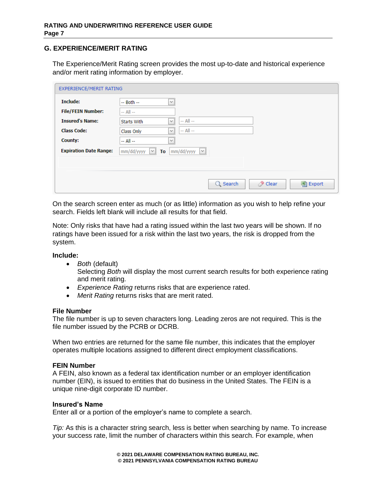# <span id="page-6-0"></span>**G. EXPERIENCE/MERIT RATING**

The Experience/Merit Rating screen provides the most up-to-date and historical experience and/or merit rating information by employer.

| Include:                      | $\checkmark$<br>$-$ Both $-$                      |
|-------------------------------|---------------------------------------------------|
| <b>File/FEIN Number:</b>      | $-$ All $-$                                       |
| <b>Insured's Name:</b>        | $-$ All $-$<br>$\checkmark$<br><b>Starts With</b> |
| <b>Class Code:</b>            | $-$ All $-$<br>$\checkmark$<br>Class Only         |
| County:                       | $\checkmark$<br>$-$ All $-$                       |
| <b>Expiration Date Range:</b> | $mm/dd/yyyy$ $\vee$<br>mm/dd/yyyy<br>$\vee$<br>To |
|                               |                                                   |
|                               |                                                   |

On the search screen enter as much (or as little) information as you wish to help refine your search. Fields left blank will include all results for that field.

Note: Only risks that have had a rating issued within the last two years will be shown. If no ratings have been issued for a risk within the last two years, the risk is dropped from the system.

**Include:**

• *Both* (default)

Selecting *Both* will display the most current search results for both experience rating and merit rating.

- *Experience Rating* returns risks that are experience rated.
- *Merit Rating* returns risks that are merit rated.

#### **File Number**

The file number is up to seven characters long. Leading zeros are not required. This is the file number issued by the PCRB or DCRB.

When two entries are returned for the same file number, this indicates that the employer operates multiple locations assigned to different direct employment classifications.

#### **FEIN Number**

A FEIN, also known as a federal tax identification number or an employer identification number (EIN), is issued to entities that do business in the United States. The FEIN is a unique nine-digit corporate ID number.

#### **Insured's Name**

Enter all or a portion of the employer's name to complete a search.

*Tip:* As this is a character string search, less is better when searching by name. To increase your success rate, limit the number of characters within this search. For example, when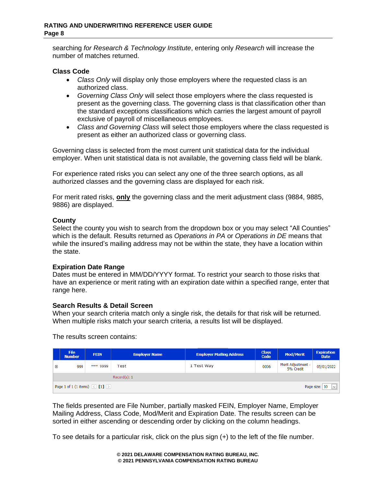searching *for Research & Technology Institute*, entering only *Research* will increase the number of matches returned.

## **Class Code**

- *Class Only* will display only those employers where the requested class is an authorized class.
- *Governing Class Only* will select those employers where the class requested is present as the governing class. The governing class is that classification other than the standard exceptions classifications which carries the largest amount of payroll exclusive of payroll of miscellaneous employees.
- *Class and Governing Class* will select those employers where the class requested is present as either an authorized class or governing class.

Governing class is selected from the most current unit statistical data for the individual employer. When unit statistical data is not available, the governing class field will be blank.

For experience rated risks you can select any one of the three search options, as all authorized classes and the governing class are displayed for each risk.

For merit rated risks, **only** the governing class and the merit adjustment class (9884, 9885, 9886) are displayed.

## **County**

Select the county you wish to search from the dropdown box or you may select "All Counties" which is the default. Results returned as *Operations in PA* or *Operations in DE* means that while the insured's mailing address may not be within the state, they have a location within the state.

# **Expiration Date Range**

Dates must be entered in MM/DD/YYYY format. To restrict your search to those risks that have an experience or merit rating with an expiration date within a specified range, enter that range here.

# **Search Results & Detail Screen**

When your search criteria match only a single risk, the details for that risk will be returned. When multiple risks match your search criteria, a results list will be displayed.

The results screen contains:

|   | <b>File</b><br><b>Number</b>                                                                                          | <b>Employer Mailing Address</b><br><b>FEIN</b><br><b>Employer Name</b> |      | <b>Class</b><br><b>Code</b> | <b>Mod/Merit</b> | <b>Expiration</b><br><b>Date</b> |            |  |
|---|-----------------------------------------------------------------------------------------------------------------------|------------------------------------------------------------------------|------|-----------------------------|------------------|----------------------------------|------------|--|
| ⊕ | *** 9999<br>999                                                                                                       |                                                                        | Test | 1 Test Way                  | 0006             | Merit Adjustment -<br>5% Credit  | 05/01/2022 |  |
|   | Record(s): 1                                                                                                          |                                                                        |      |                             |                  |                                  |            |  |
|   | Page 1 of 1 (1 items) $\left[\left\langle \right  \left[ 1 \right] \left[ \right. \right]$<br>Page size: 10<br>$\vee$ |                                                                        |      |                             |                  |                                  |            |  |

The fields presented are File Number, partially masked FEIN, Employer Name, Employer Mailing Address, Class Code, Mod/Merit and Expiration Date. The results screen can be sorted in either ascending or descending order by clicking on the column headings.

To see details for a particular risk, click on the plus sign (+) to the left of the file number.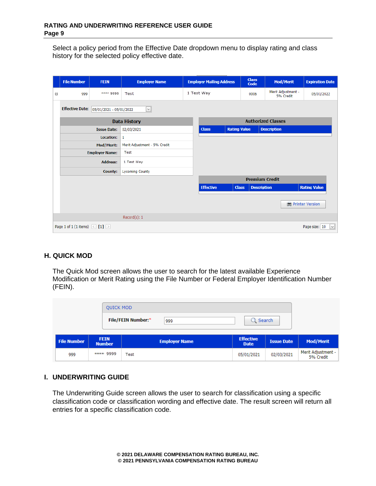Select a policy period from the Effective Date dropdown menu to display rating and class history for the selected policy effective date.

|   | <b>File Number</b>                      | <b>FEIN</b>             | <b>Employer Name</b>         | <b>Employer Mailing Address</b> |                     | <b>Class</b><br>Code | <b>Mod/Merit</b>                | <b>Expiration Date</b>        |  |
|---|-----------------------------------------|-------------------------|------------------------------|---------------------------------|---------------------|----------------------|---------------------------------|-------------------------------|--|
| Θ | 999                                     | **** 9999               | Test                         | 1 Test Way                      |                     | 0006                 | Merit Adjustment -<br>5% Credit | 05/01/2022                    |  |
|   | <b>Effective Date:</b>                  | 05/01/2021 - 05/01/2022 | $\checkmark$                 |                                 |                     |                      |                                 |                               |  |
|   |                                         |                         | <b>Data History</b>          | <b>Authorized Classes</b>       |                     |                      |                                 |                               |  |
|   |                                         | <b>Issue Date:</b>      | 02/03/2021                   | <b>Class</b>                    | <b>Rating Value</b> |                      | <b>Description</b>              |                               |  |
|   |                                         | Location:               | 1                            |                                 |                     |                      |                                 |                               |  |
|   |                                         | Mod/Merit:              | Merit Adjustment - 5% Credit |                                 |                     |                      |                                 |                               |  |
|   |                                         | <b>Employer Name:</b>   | Test                         |                                 |                     |                      |                                 |                               |  |
|   |                                         | <b>Address:</b>         | 1 Test Way                   |                                 |                     |                      |                                 |                               |  |
|   |                                         | <b>County:</b>          | <b>Lycoming County</b>       |                                 |                     |                      |                                 |                               |  |
|   |                                         |                         |                              | <b>Premium Credit</b>           |                     |                      |                                 |                               |  |
|   |                                         |                         |                              | <b>Effective</b>                | <b>Class</b>        | <b>Description</b>   |                                 | <b>Rating Value</b>           |  |
|   |                                         |                         |                              |                                 |                     |                      |                                 | Printer Version               |  |
|   |                                         |                         | Record(s): 1                 |                                 |                     |                      |                                 |                               |  |
|   | Page 1 of 1 (1 items) $\leq$ [1] $\geq$ |                         |                              |                                 |                     |                      |                                 | $\checkmark$<br>Page size: 10 |  |

## <span id="page-8-0"></span>**H. QUICK MOD**

The Quick Mod screen allows the user to search for the latest available Experience Modification or Merit Rating using the File Number or Federal Employer Identification Number (FEIN).

|                    |                              | <b>File/FEIN Number:*</b><br>999 | $Q$ Search                      |                   |                                 |
|--------------------|------------------------------|----------------------------------|---------------------------------|-------------------|---------------------------------|
| <b>File Number</b> | <b>FEIN</b><br><b>Number</b> | <b>Employer Name</b>             | <b>Effective</b><br><b>Date</b> | <b>Issue Date</b> | <b>Mod/Merit</b>                |
| 999                | **** 9999                    | Test                             | 05/01/2021                      | 02/03/2021        | Merit Adjustment -<br>5% Credit |

## <span id="page-8-1"></span>**I. UNDERWRITING GUIDE**

The Underwriting Guide screen allows the user to search for classification using a specific classification code or classification wording and effective date. The result screen will return all entries for a specific classification code.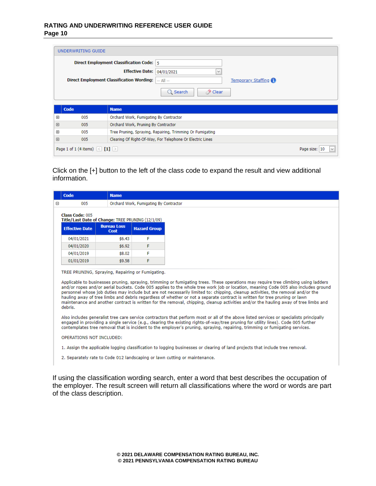#### **RATING AND UNDERWRITING REFERENCE USER GUIDE Page 10**

|             |                                                                                         | <b>Direct Employment Classification Code:</b> 5           |  |  |
|-------------|-----------------------------------------------------------------------------------------|-----------------------------------------------------------|--|--|
|             |                                                                                         | Effective Date: 04/01/2021<br>$\checkmark$                |  |  |
|             | Direct Employment Classification Wording:<br><b>Temporary Staffing 1</b><br>$-$ All $-$ |                                                           |  |  |
|             |                                                                                         | <b>O</b> Clear<br>Q Search                                |  |  |
| <b>Code</b> |                                                                                         | <b>Name</b>                                               |  |  |
| $\boxplus$  | 005                                                                                     | Orchard Work, Fumigating By Contractor                    |  |  |
| $\boxplus$  | 005                                                                                     | Orchard Work, Pruning By Contractor                       |  |  |
| Œ           | 005                                                                                     | Tree Pruning, Spraying, Repairing, Trimming Or Fumigating |  |  |

Click on the [+] button to the left of the class code to expand the result and view additional information.

| Code                                          | <b>Name</b>                                       |                     |                                                                                                                                                                                                                                                                                                                                                                                                                                                                                                                                                  |
|-----------------------------------------------|---------------------------------------------------|---------------------|--------------------------------------------------------------------------------------------------------------------------------------------------------------------------------------------------------------------------------------------------------------------------------------------------------------------------------------------------------------------------------------------------------------------------------------------------------------------------------------------------------------------------------------------------|
| 005<br>Orchard Work, Fumigating By Contractor |                                                   |                     |                                                                                                                                                                                                                                                                                                                                                                                                                                                                                                                                                  |
| Class Code: 005                               | Title/Last Date of Change: TREE PRUNING (12/1/09) |                     |                                                                                                                                                                                                                                                                                                                                                                                                                                                                                                                                                  |
| <b>Effective Date</b>                         | <b>Bureau Loss</b><br>Cost                        | <b>Hazard Group</b> |                                                                                                                                                                                                                                                                                                                                                                                                                                                                                                                                                  |
| 04/01/2021                                    | \$6.43                                            | F                   |                                                                                                                                                                                                                                                                                                                                                                                                                                                                                                                                                  |
| 04/01/2020                                    | \$6.92                                            | F                   |                                                                                                                                                                                                                                                                                                                                                                                                                                                                                                                                                  |
| 04/01/2019                                    | \$8.02                                            | F                   |                                                                                                                                                                                                                                                                                                                                                                                                                                                                                                                                                  |
| 01/01/2019                                    | \$9.58                                            | F                   |                                                                                                                                                                                                                                                                                                                                                                                                                                                                                                                                                  |
|                                               | TREE PRUNING, Spraying, Repairing or Fumigating.  |                     |                                                                                                                                                                                                                                                                                                                                                                                                                                                                                                                                                  |
| debris.                                       |                                                   |                     | personnel whose job duties may include but are not necessarily limited to: chipping, cleanup activities, the removal and/or the<br>hauling away of tree limbs and debris regardless of whether or not a separate contract is written for tree pruning or lawn                                                                                                                                                                                                                                                                                    |
|                                               |                                                   |                     | Also includes generalist tree care service contractors that perform most or all of the above listed services or specialists principally<br>engaged in providing a single service (e.g., clearing the existing rights-of-way/tree pruning for utility lines). Code 005 further<br>contemplates tree removal that is incident to the employer's pruning, spraying, repairing, trimming or fumigating services.                                                                                                                                     |
| OPERATIONS NOT INCLUDED:                      |                                                   |                     |                                                                                                                                                                                                                                                                                                                                                                                                                                                                                                                                                  |
|                                               |                                                   |                     | Applicable to businesses pruning, spraying, trimming or fumigating trees. These operations may require tree climbing using ladders<br>and/or ropes and/or aerial buckets. Code 005 applies to the whole tree work job or location, meaning Code 005 also includes ground<br>maintenance and another contract is written for the removal, chipping, cleanup activities and/or the hauling away of tree limbs and<br>1. Assign the applicable logging classification to logging businesses or clearing of land projects that include tree removal. |

If using the classification wording search, enter a word that best describes the occupation of the employer. The result screen will return all classifications where the word or words are part of the class description.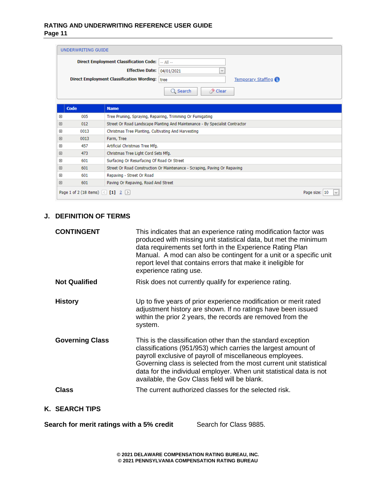#### **RATING AND UNDERWRITING REFERENCE USER GUIDE Page 11**

| UNDERWRITING GUIDE                             |                 |                             |
|------------------------------------------------|-----------------|-----------------------------|
| Direct Employment Classification Code:    All  |                 |                             |
| <b>Effective Date: 04/01/2021</b>              |                 | $\mathcal{A}$               |
| Direct Employment Classification Wording: tree |                 | <b>Temporary Staffing 1</b> |
|                                                | $\Omega$ Search | / Clear                     |

|                                                                                           | Code | <b>Name</b>                                                                  |  |
|-------------------------------------------------------------------------------------------|------|------------------------------------------------------------------------------|--|
| ⊕                                                                                         | 005  | Tree Pruning, Spraying, Repairing, Trimming Or Fumigating                    |  |
| ⊕                                                                                         | 012  | Street Or Road Landscape Planting And Maintenance - By Specialist Contractor |  |
| ⊕                                                                                         | 0013 | Christmas Tree Planting, Cultivating And Harvesting                          |  |
| ⊕                                                                                         | 0013 | Farm, Tree                                                                   |  |
| ⊕                                                                                         | 457  | Artificial Christmas Tree Mfg.                                               |  |
| ⊕                                                                                         | 473  | Christmas Tree Light Cord Sets Mfg.                                          |  |
| ⊕                                                                                         | 601  | Surfacing Or Resurfacing Of Road Or Street                                   |  |
| ⊕                                                                                         | 601  | Street Or Road Construction Or Maintenance - Scraping, Paving Or Repaving    |  |
| ⊕                                                                                         | 601  | Repaving - Street Or Road                                                    |  |
| ⊕                                                                                         | 601  | Paving Or Repaving, Road And Street                                          |  |
| Page 1 of 2 (18 items) $\left[\times\right]$ [1] $\left[\frac{2}{2}\right]$<br>Page size: |      |                                                                              |  |

# <span id="page-10-0"></span>**J. DEFINITION OF TERMS**

| <b>CONTINGENT</b>      | This indicates that an experience rating modification factor was<br>produced with missing unit statistical data, but met the minimum<br>data requirements set forth in the Experience Rating Plan<br>Manual. A mod can also be contingent for a unit or a specific unit<br>report level that contains errors that make it ineligible for<br>experience rating use.                      |
|------------------------|-----------------------------------------------------------------------------------------------------------------------------------------------------------------------------------------------------------------------------------------------------------------------------------------------------------------------------------------------------------------------------------------|
| <b>Not Qualified</b>   | Risk does not currently qualify for experience rating.                                                                                                                                                                                                                                                                                                                                  |
| <b>History</b>         | Up to five years of prior experience modification or merit rated<br>adjustment history are shown. If no ratings have been issued<br>within the prior 2 years, the records are removed from the<br>system.                                                                                                                                                                               |
| <b>Governing Class</b> | This is the classification other than the standard exception<br>classifications (951/953) which carries the largest amount of<br>payroll exclusive of payroll of miscellaneous employees.<br>Governing class is selected from the most current unit statistical<br>data for the individual employer. When unit statistical data is not<br>available, the Gov Class field will be blank. |
| Class                  | The current authorized classes for the selected risk.                                                                                                                                                                                                                                                                                                                                   |

# <span id="page-10-1"></span>**K. SEARCH TIPS**

**Search for merit ratings with a 5% credit** Search for Class 9885.